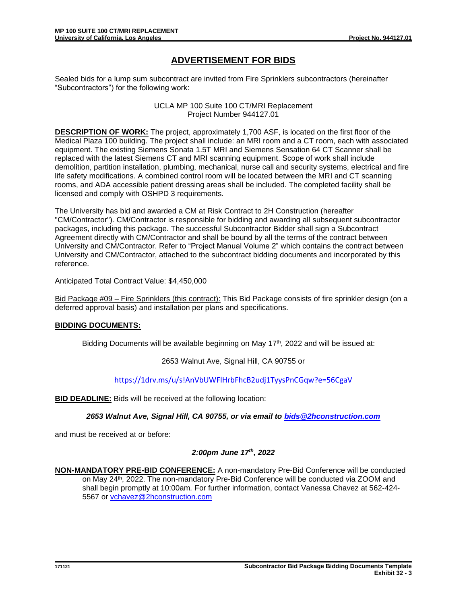# **ADVERTISEMENT FOR BIDS**

Sealed bids for a lump sum subcontract are invited from Fire Sprinklers subcontractors (hereinafter "Subcontractors") for the following work:

> UCLA MP 100 Suite 100 CT/MRI Replacement Project Number 944127.01

**DESCRIPTION OF WORK:** The project, approximately 1,700 ASF, is located on the first floor of the Medical Plaza 100 building. The project shall include: an MRI room and a CT room, each with associated equipment. The existing Siemens Sonata 1.5T MRI and Siemens Sensation 64 CT Scanner shall be replaced with the latest Siemens CT and MRI scanning equipment. Scope of work shall include demolition, partition installation, plumbing, mechanical, nurse call and security systems, electrical and fire life safety modifications. A combined control room will be located between the MRI and CT scanning rooms, and ADA accessible patient dressing areas shall be included. The completed facility shall be licensed and comply with OSHPD 3 requirements.

The University has bid and awarded a CM at Risk Contract to 2H Construction (hereafter "CM/Contractor"). CM/Contractor is responsible for bidding and awarding all subsequent subcontractor packages, including this package. The successful Subcontractor Bidder shall sign a Subcontract Agreement directly with CM/Contractor and shall be bound by all the terms of the contract between University and CM/Contractor. Refer to "Project Manual Volume 2" which contains the contract between University and CM/Contractor, attached to the subcontract bidding documents and incorporated by this reference.

Anticipated Total Contract Value: \$4,450,000

Bid Package #09 – Fire Sprinklers (this contract): This Bid Package consists of fire sprinkler design (on a deferred approval basis) and installation per plans and specifications.

## **BIDDING DOCUMENTS:**

Bidding Documents will be available beginning on May  $17<sup>th</sup>$ , 2022 and will be issued at:

#### 2653 Walnut Ave, Signal Hill, CA 90755 or

<https://1drv.ms/u/s!AnVbUWFlHrbFhcB2udj1TyysPnCGqw?e=56CgaV>

**BID DEADLINE:** Bids will be received at the following location:

*2653 Walnut Ave, Signal Hill, CA 90755, or via email to [bids@2hconstruction.com](mailto:bids@2hconstruction.com)*

and must be received at or before:

## *2:00pm June 17th, 2022*

**NON-MANDATORY PRE-BID CONFERENCE:** A non-mandatory Pre-Bid Conference will be conducted on May 24<sup>th</sup>, 2022. The non-mandatory Pre-Bid Conference will be conducted via ZOOM and shall begin promptly at 10:00am*.* For further information, contact Vanessa Chavez at 562-424- 5567 or [vchavez@2hconstruction.com](mailto:vchavez@2hconstruction.com)